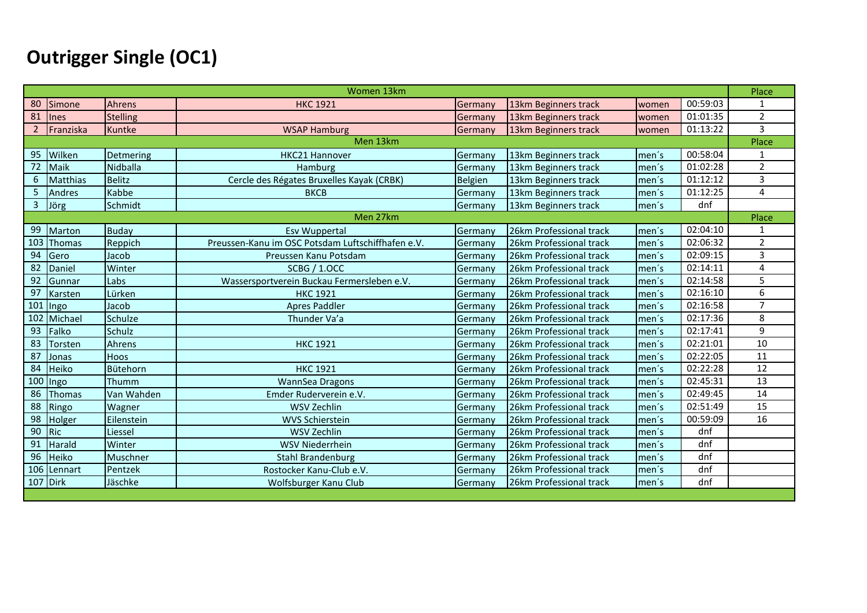# **Outrigger Single (OC1)**

|     |               |                 | Women 13km                                        |         |                         |       |          | Place          |
|-----|---------------|-----------------|---------------------------------------------------|---------|-------------------------|-------|----------|----------------|
| 80  | Simone        | Ahrens          | <b>HKC 1921</b>                                   | Germany | 13km Beginners track    | women | 00:59:03 | $\mathbf{1}$   |
| 81  | <b>Ines</b>   | <b>Stelling</b> |                                                   | Germany | 13km Beginners track    | women | 01:01:35 | $\overline{2}$ |
|     | Franziska     | <b>Kuntke</b>   | <b>WSAP Hamburg</b>                               | Germany | 13km Beginners track    | women | 01:13:22 | 3              |
|     |               |                 | Men 13km                                          |         |                         |       |          | Place          |
| 95  | Wilken        | Detmering       | <b>HKC21 Hannover</b>                             | Germany | 13km Beginners track    | men's | 00:58:04 | 1              |
| 72  | Maik          | Nidballa        | Hamburg                                           | Germany | 13km Beginners track    | men's | 01:02:28 | $\overline{2}$ |
| 6   | Matthias      | <b>Belitz</b>   | Cercle des Régates Bruxelles Kayak (CRBK)         | Belgien | 13km Beginners track    | men's | 01:12:12 | 3              |
| 5   | Andres        | Kabbe           | <b>BKCB</b>                                       | Germany | 13km Beginners track    | men's | 01:12:25 | 4              |
| 3   | Jörg          | Schmidt         |                                                   | Germany | 13km Beginners track    | men's | dnf      |                |
|     |               |                 | Men 27km                                          |         |                         |       |          | Place          |
| 99  | Marton        | <b>Buday</b>    | <b>Esv Wuppertal</b>                              | Germany | 26km Professional track | men's | 02:04:10 | 1              |
| 103 | Thomas        | Reppich         | Preussen-Kanu im OSC Potsdam Luftschiffhafen e.V. | Germany | 26km Professional track | men's | 02:06:32 | $\overline{2}$ |
| 94  | Gero          | Jacob           | Preussen Kanu Potsdam                             | Germany | 26km Professional track | men's | 02:09:15 | 3              |
| 82  | Daniel        | Winter          | <b>SCBG / 1.OCC</b>                               | Germany | 26km Professional track | men's | 02:14:11 | 4              |
| 92  | Gunnar        | Labs            | Wassersportverein Buckau Fermersleben e.V.        | Germany | 26km Professional track | men's | 02:14:58 | 5              |
| 97  | Karsten       | Lürken          | <b>HKC 1921</b>                                   | Germany | 26km Professional track | men's | 02:16:10 | 6              |
| 101 | Ingo          | Jacob           | <b>Apres Paddler</b>                              | Germany | 26km Professional track | men's | 02:16:58 | $\overline{7}$ |
| 102 | Michael       | Schulze         | Thunder Va'a                                      | Germany | 26km Professional track | men's | 02:17:36 | 8              |
| 93  | Falko         | Schulz          |                                                   | Germany | 26km Professional track | men's | 02:17:41 | 9              |
| 83  | Torsten       | Ahrens          | <b>HKC 1921</b>                                   | Germany | 26km Professional track | men's | 02:21:01 | 10             |
| 87  | Jonas         | <b>Hoos</b>     |                                                   | Germany | 26km Professional track | men's | 02:22:05 | 11             |
| 84  | Heiko         | Bütehorn        | <b>HKC 1921</b>                                   | Germany | 26km Professional track | men's | 02:22:28 | 12             |
|     | 100 Ingo      | Thumm           | WannSea Dragons                                   | Germany | 26km Professional track | men's | 02:45:31 | 13             |
| 86  | <b>Thomas</b> | Van Wahden      | Emder Ruderverein e.V.                            | Germany | 26km Professional track | men's | 02:49:45 | 14             |
| 88  | Ringo         | Wagner          | <b>WSV Zechlin</b>                                | Germany | 26km Professional track | men's | 02:51:49 | 15             |
| 98  | Holger        | Eilenstein      | <b>WVS Schierstein</b>                            | Germany | 26km Professional track | men's | 00:59:09 | 16             |
| 90  | <b>Ric</b>    | Liessel         | WSV Zechlin                                       | Germany | 26km Professional track | men's | dnf      |                |
| 91  | Harald        | Winter          | <b>WSV Niederrhein</b>                            | Germany | 26km Professional track | men's | dnf      |                |
| 96  | Heiko         | Muschner        | <b>Stahl Brandenburg</b>                          | Germany | 26km Professional track | men's | dnf      |                |
|     | 106 Lennart   | Pentzek         | Rostocker Kanu-Club e.V.                          | Germany | 26km Professional track | men's | dnf      |                |
|     | 107 Dirk      | Jäschke         | Wolfsburger Kanu Club                             | Germany | 26km Professional track | men's | dnf      |                |
|     |               |                 |                                                   |         |                         |       |          |                |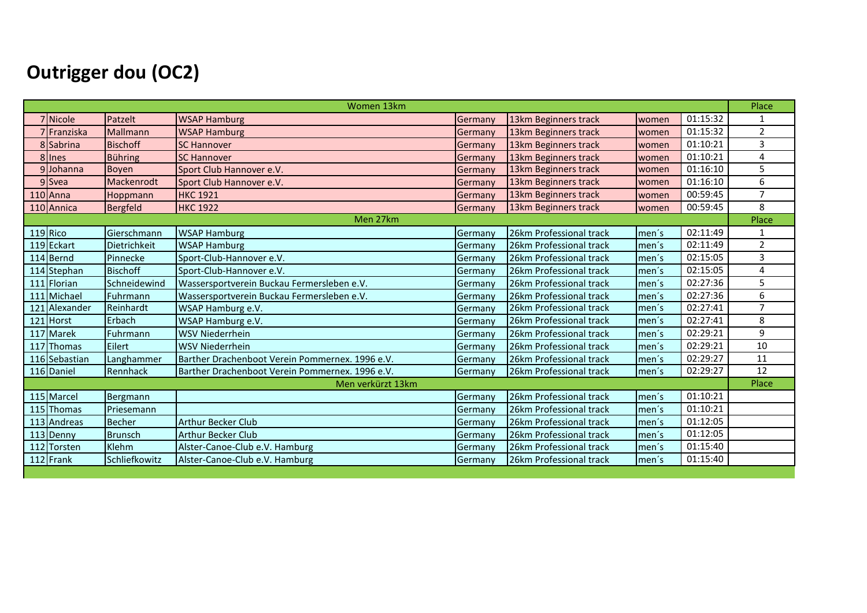# **Outrigger dou (OC2)**

|                  |                 | Women 13km                                      |         |                         |        |          | Place          |
|------------------|-----------------|-------------------------------------------------|---------|-------------------------|--------|----------|----------------|
| 7 Nicole         | Patzelt         | <b>WSAP Hamburg</b>                             | Germany | 13km Beginners track    | women  | 01:15:32 | 1              |
| 7 Franziska      | Mallmann        | <b>WSAP Hamburg</b>                             | Germany | 13km Beginners track    | women  | 01:15:32 | $\overline{2}$ |
| 8 Sabrina        | <b>Bischoff</b> | <b>SC Hannover</b>                              | Germany | 13km Beginners track    | women  | 01:10:21 | 3              |
| 8 Ines           | <b>Bühring</b>  | <b>SC Hannover</b>                              | Germany | 13km Beginners track    | women  | 01:10:21 | 4              |
| 9Johanna         | <b>Boyen</b>    | Sport Club Hannover e.V.                        | Germany | 13km Beginners track    | women  | 01:16:10 | 5              |
| 9 Svea           | Mackenrodt      | Sport Club Hannover e.V.                        | Germany | 13km Beginners track    | women  | 01:16:10 | 6              |
| $110$ Anna       | Hoppmann        | <b>HKC 1921</b>                                 | Germany | 13km Beginners track    | women  | 00:59:45 | 7              |
| 110 Annica       | Bergfeld        | <b>HKC 1922</b>                                 | Germany | 13km Beginners track    | women  | 00:59:45 | 8              |
|                  |                 | Men 27km                                        |         |                         |        |          | Place          |
| 119 Rico         | Gierschmann     | <b>WSAP Hamburg</b>                             | Germany | 26km Professional track | men's  | 02:11:49 | $\mathbf{1}$   |
| 119 Eckart       | Dietrichkeit    | <b>WSAP Hamburg</b>                             | Germany | 26km Professional track | men's  | 02:11:49 | $\overline{2}$ |
| 114 Bernd        | Pinnecke        | Sport-Club-Hannover e.V.                        | Germany | 26km Professional track | men's  | 02:15:05 | 3              |
| 114 Stephan      | <b>Bischoff</b> | Sport-Club-Hannover e.V.                        | Germany | 26km Professional track | men's  | 02:15:05 | 4              |
| 111 Florian      | Schneidewind    | Wassersportverein Buckau Fermersleben e.V.      | Germany | 26km Professional track | men's  | 02:27:36 | 5              |
| 111 Michael      | Fuhrmann        | Wassersportverein Buckau Fermersleben e.V.      | Germany | 26km Professional track | men's  | 02:27:36 | 6              |
| Alexander<br>121 | Reinhardt       | WSAP Hamburg e.V.                               | Germany | 26km Professional track | men's  | 02:27:41 | $\overline{7}$ |
| 121 Horst        | Erbach          | WSAP Hamburg e.V.                               | Germany | 26km Professional track | men's  | 02:27:41 | 8              |
| 117 Marek        | Fuhrmann        | <b>WSV Niederrhein</b>                          | Germany | 26km Professional track | men's  | 02:29:21 | 9              |
| 117 Thomas       | Eilert          | <b>WSV Niederrhein</b>                          | Germany | 26km Professional track | men's  | 02:29:21 | 10             |
| 116 Sebastian    | Langhammer      | Barther Drachenboot Verein Pommernex. 1996 e.V. | Germany | 26km Professional track | men's  | 02:29:27 | 11             |
| 116 Daniel       | Rennhack        | Barther Drachenboot Verein Pommernex. 1996 e.V. | Germany | 26km Professional track | men's  | 02:29:27 | 12             |
|                  |                 | Men verkürzt 13km                               |         |                         |        |          | Place          |
| 115 Marcel       | Bergmann        |                                                 | Germany | 26km Professional track | men's  | 01:10:21 |                |
| 115 Thomas       | Priesemann      |                                                 | Germany | 26km Professional track | men's  | 01:10:21 |                |
| 113 Andreas      | <b>Becher</b>   | <b>Arthur Becker Club</b>                       | Germany | 26km Professional track | men's  | 01:12:05 |                |
| 113 Denny        | <b>Brunsch</b>  | <b>Arthur Becker Club</b>                       | Germany | 26km Professional track | men's  | 01:12:05 |                |
| 112 Torsten      | Klehm           | Alster-Canoe-Club e.V. Hamburg                  | Germany | 26km Professional track | Imen's | 01:15:40 |                |
| 112 Frank        | Schliefkowitz   | Alster-Canoe-Club e.V. Hamburg                  | Germany | 26km Professional track | men's  | 01:15:40 |                |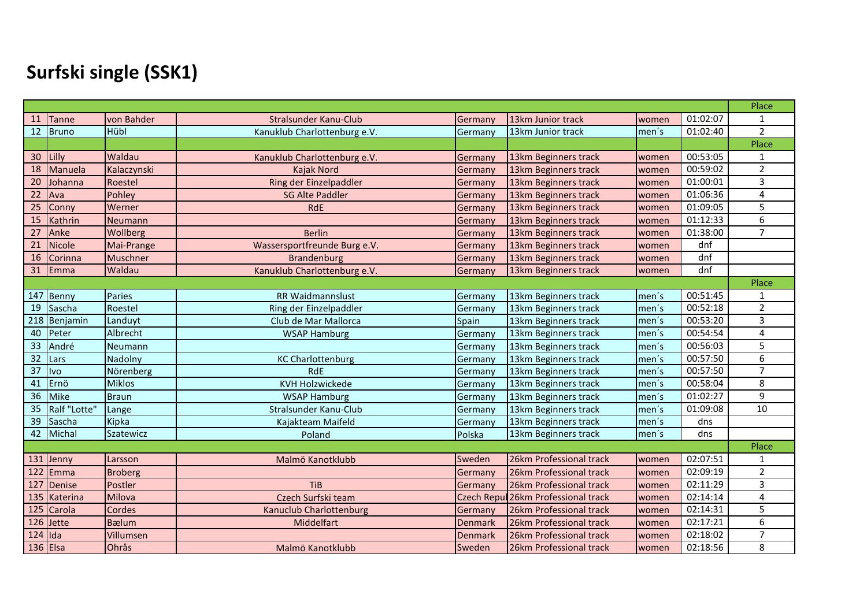# **Surfski single (SSK1)**

|                 |               |                |                                |                |                                     |       |          | Place           |
|-----------------|---------------|----------------|--------------------------------|----------------|-------------------------------------|-------|----------|-----------------|
| 11              | Tanne         | von Bahder     | Stralsunder Kanu-Club          | Germany        | 13km Junior track                   | women | 01:02:07 | $\mathbf{1}$    |
| 12              | Bruno         | Hübl           | Kanuklub Charlottenburg e.V.   | Germany        | 13km Junior track                   | men's | 01:02:40 | $\overline{2}$  |
|                 |               |                |                                |                |                                     |       |          | Place           |
| 30 <sup>°</sup> | Lilly         | Waldau         | Kanuklub Charlottenburg e.V.   | Germany        | 13km Beginners track                | women | 00:53:05 | $\mathbf{1}$    |
| 18              | Manuela       | Kalaczynski    | Kajak Nord                     | Germany        | 13km Beginners track                | women | 00:59:02 | $\overline{2}$  |
| 20              | Johanna       | Roestel        | Ring der Einzelpaddler         | Germany        | 13km Beginners track                | women | 01:00:01 | 3               |
| 22              | Ava           | Pohley         | <b>SG Alte Paddler</b>         | Germany        | 13km Beginners track                | women | 01:06:36 | $\overline{4}$  |
| 25              | Conny         | Werner         | <b>RdE</b>                     | Germany        | 13km Beginners track                | women | 01:09:05 | 5               |
| 15              | Kathrin       | <b>Neumann</b> |                                | Germany        | 13km Beginners track                | women | 01:12:33 | 6               |
| 27              | Anke          | Wollberg       | <b>Berlin</b>                  | Germany        | 13km Beginners track                | women | 01:38:00 | $\overline{7}$  |
| 21              | <b>Nicole</b> | Mai-Prange     | Wassersportfreunde Burg e.V.   | Germany        | 13km Beginners track                | women | dnf      |                 |
| 16              | Corinna       | Muschner       | <b>Brandenburg</b>             | Germany        | 13km Beginners track                | women | dnf      |                 |
| 31              | Emma          | Waldau         | Kanuklub Charlottenburg e.V.   | Germany        | 13km Beginners track                | women | dnf      |                 |
|                 |               |                |                                |                |                                     |       |          | Place           |
|                 | 147 Benny     | Paries         | RR Waidmannslust               | Germany        | 13km Beginners track                | men's | 00:51:45 | 1               |
| 19              | Sascha        | Roestel        | Ring der Einzelpaddler         | Germany        | 13km Beginners track                | men's | 00:52:18 | $\overline{2}$  |
| 218             | Benjamin      | Landuyt        | Club de Mar Mallorca           | Spain          | 13km Beginners track                | men's | 00:53:20 | 3               |
| 40              | Peter         | Albrecht       | <b>WSAP Hamburg</b>            | Germany        | 13km Beginners track                | men's | 00:54:54 | $\overline{4}$  |
| 33              | André         | Neumann        |                                | Germany        | 13km Beginners track                | men's | 00:56:03 | 5               |
| 32              | Lars          | Nadolny        | <b>KC Charlottenburg</b>       | Germany        | 13km Beginners track                | men's | 00:57:50 | 6               |
| 37              | <b>Ivo</b>    | Nörenberg      | <b>RdE</b>                     | Germany        | 13km Beginners track                | men's | 00:57:50 | $\overline{7}$  |
| 41              | Ernö          | <b>Miklos</b>  | <b>KVH Holzwickede</b>         | Germany        | 13km Beginners track                | men's | 00:58:04 | 8               |
| 36              | Mike          | <b>Braun</b>   | <b>WSAP Hamburg</b>            | Germany        | 13km Beginners track                | men's | 01:02:27 | 9               |
| 35              | Ralf "Lotte"  | Lange          | Stralsunder Kanu-Club          | Germany        | 13km Beginners track                | men's | 01:09:08 | $\overline{10}$ |
| 39              | Sascha        | Kipka          | Kajakteam Maifeld              | Germany        | 13km Beginners track                | men's | dns      |                 |
| 42              | Michal        | Szatewicz      | Poland                         | Polska         | 13km Beginners track                | men's | dns      |                 |
|                 |               |                |                                |                |                                     |       |          | Place           |
|                 | 131 Jenny     | Larsson        | Malmö Kanotklubb               | Sweden         | 26km Professional track             | women | 02:07:51 | 1               |
| 122             | Emma          | <b>Broberg</b> |                                | Germany        | 26km Professional track             | women | 02:09:19 | $\overline{2}$  |
| 127             | Denise        | Postler        | <b>TiB</b>                     | Germany        | 26km Professional track             | women | 02:11:29 | 3               |
| 135             | Katerina      | Milova         | Czech Surfski team             |                | Czech Repul 26km Professional track | women | 02:14:14 | 4               |
| 125             | Carola        | Cordes         | <b>Kanuclub Charlottenburg</b> | Germany        | 26km Professional track             | women | 02:14:31 | 5               |
| 126             | Jette         | <b>B</b> ælum  | Middelfart                     | <b>Denmark</b> | 26km Professional track             | women | 02:17:21 | 6               |
| $124$ Ida       |               | Villumsen      |                                | <b>Denmark</b> | 26km Professional track             | women | 02:18:02 | $\overline{7}$  |
|                 | $136$ Elsa    | Ohrås          | Malmö Kanotklubb               | Sweden         | 26km Professional track             | women | 02:18:56 | 8               |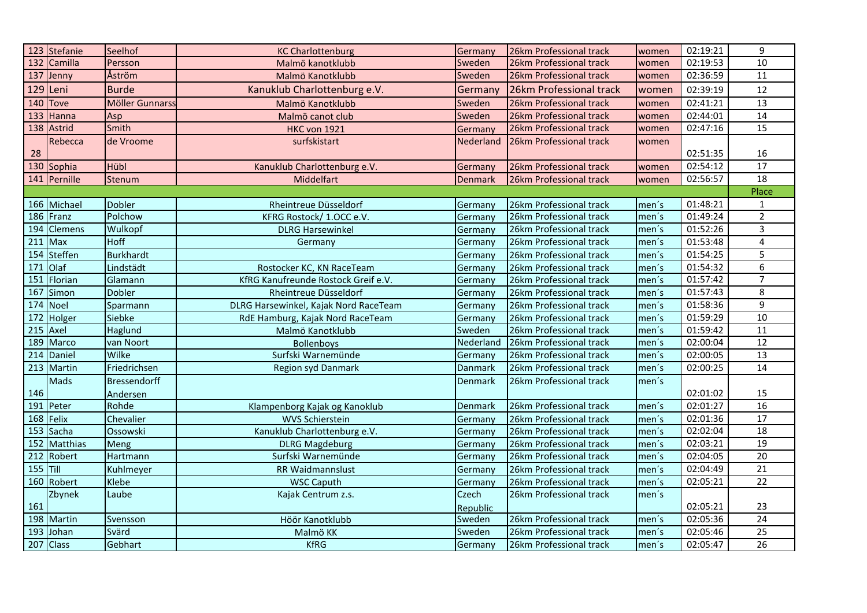|          | 123 Stefanie            | Seelhof             | <b>KC Charlottenburg</b>              | Germany        | 26km Professional track | women | 02:19:21 | 9               |
|----------|-------------------------|---------------------|---------------------------------------|----------------|-------------------------|-------|----------|-----------------|
|          | 132 Camilla             | Persson             | Malmö kanotklubb                      | Sweden         | 26km Professional track | women | 02:19:53 | $10\,$          |
|          | 137 Jenny               | Åström              | Malmö Kanotklubb                      | Sweden         | 26km Professional track | women | 02:36:59 | 11              |
|          | 129 Leni                | <b>Burde</b>        | Kanuklub Charlottenburg e.V.          | Germany        | 26km Professional track | women | 02:39:19 | 12              |
|          | 140 Tove                | Möller Gunnarss     | Malmö Kanotklubb                      | Sweden         | 26km Professional track | women | 02:41:21 | 13              |
|          | $133$ Hanna             | Asp                 | Malmö canot club                      | Sweden         | 26km Professional track | women | 02:44:01 | 14              |
|          | 138 Astrid              | Smith               | <b>HKC von 1921</b>                   | Germany        | 26km Professional track | women | 02:47:16 | $\overline{15}$ |
|          | Rebecca                 | de Vroome           | surfskistart                          | Nederland      | 26km Professional track | women |          |                 |
| 28       |                         |                     |                                       |                |                         |       | 02:51:35 | 16              |
|          | 130 Sophia              | Hübl                | Kanuklub Charlottenburg e.V.          | Germany        | 26km Professional track | women | 02:54:12 | 17              |
|          | 141 Pernille            | Stenum              | Middelfart                            | Denmark        | 26km Professional track | women | 02:56:57 | 18              |
|          |                         |                     |                                       |                |                         |       |          | Place           |
|          | 166 Michael             | <b>Dobler</b>       | Rheintreue Düsseldorf                 | Germany        | 26km Professional track | men's | 01:48:21 | $\mathbf{1}$    |
|          | 186 Franz               | Polchow             | KFRG Rostock/ 1.OCC e.V.              | Germany        | 26km Professional track | men's | 01:49:24 | $\overline{2}$  |
|          | 194 Clemens             | Wulkopf             | <b>DLRG Harsewinkel</b>               | Germany        | 26km Professional track | men's | 01:52:26 | 3               |
| 211      | Max                     | <b>Hoff</b>         | Germany                               | Germany        | 26km Professional track | men's | 01:53:48 | 4               |
|          | 154 Steffen             | <b>Burkhardt</b>    |                                       | Germany        | 26km Professional track | men's | 01:54:25 | 5               |
| 171      | Olaf                    | Lindstädt           | Rostocker KC, KN RaceTeam             | Germany        | 26km Professional track | men's | 01:54:32 | 6               |
|          | 151 Florian             | Glamann             | KfRG Kanufreunde Rostock Greif e.V.   | Germany        | 26km Professional track | men's | 01:57:42 | $\overline{7}$  |
|          | 167 Simon               | Dobler              | Rheintreue Düsseldorf                 | Germany        | 26km Professional track | men's | 01:57:43 | 8               |
|          | 174 Noel                | Sparmann            | DLRG Harsewinkel, Kajak Nord RaceTeam | Germany        | 26km Professional track | men's | 01:58:36 | 9               |
|          | 172 Holger              | Siebke              | RdE Hamburg, Kajak Nord RaceTeam      | Germany        | 26km Professional track | men's | 01:59:29 | 10              |
| 215      | Axel                    | Haglund             | Malmö Kanotklubb                      | Sweden         | 26km Professional track | men's | 01:59:42 | 11              |
| 189      | Marco                   | van Noort           | <b>Bollenboys</b>                     | Nederland      | 26km Professional track | men's | 02:00:04 | 12              |
|          | $\overline{214}$ Daniel | Wilke               | Surfski Warnemünde                    | Germany        | 26km Professional track | men's | 02:00:05 | $\overline{13}$ |
|          | $\overline{213}$ Martin | Friedrichsen        | Region syd Danmark                    | <b>Danmark</b> | 26km Professional track | men's | 02:00:25 | 14              |
|          | Mads                    | <b>Bressendorff</b> |                                       | Denmark        | 26km Professional track | men's |          |                 |
| 146      |                         | Andersen            |                                       |                |                         |       | 02:01:02 | 15              |
| 191      | Peter                   | Rohde               | Klampenborg Kajak og Kanoklub         | <b>Denmark</b> | 26km Professional track | men's | 02:01:27 | 16              |
|          | 168 Felix               | Chevalier           | <b>WVS Schierstein</b>                | Germany        | 26km Professional track | men's | 02:01:36 | 17              |
|          | 153 Sacha               | Ossowski            | Kanuklub Charlottenburg e.V.          | Germany        | 26km Professional track | men's | 02:02:04 | 18              |
|          | 152 Matthias            | <b>Meng</b>         | <b>DLRG Magdeburg</b>                 | Germany        | 26km Professional track | men's | 02:03:21 | 19              |
|          | 212 Robert              | Hartmann            | Surfski Warnemünde                    | Germany        | 26km Professional track | men's | 02:04:05 | $\overline{20}$ |
| 155 Till |                         | Kuhlmeyer           | RR Waidmannslust                      | Germany        | 26km Professional track | men's | 02:04:49 | 21              |
|          | 160 Robert              | Klebe               | <b>WSC Caputh</b>                     | Germany        | 26km Professional track | men's | 02:05:21 | $\overline{22}$ |
|          | Zbynek                  | Laube               | Kajak Centrum z.s.                    | Czech          | 26km Professional track | men's |          |                 |
| 161      |                         |                     |                                       | Republic       |                         |       | 02:05:21 | 23              |
|          | 198 Martin              | Svensson            | Höör Kanotklubb                       | Sweden         | 26km Professional track | men's | 02:05:36 | 24              |
| 193      | Johan                   | Svärd               | Malmö KK                              | Sweden         | 26km Professional track | men's | 02:05:46 | 25              |
|          | 207 Class               | Gebhart             | <b>KfRG</b>                           | Germany        | 26km Professional track | men's | 02:05:47 | $\overline{26}$ |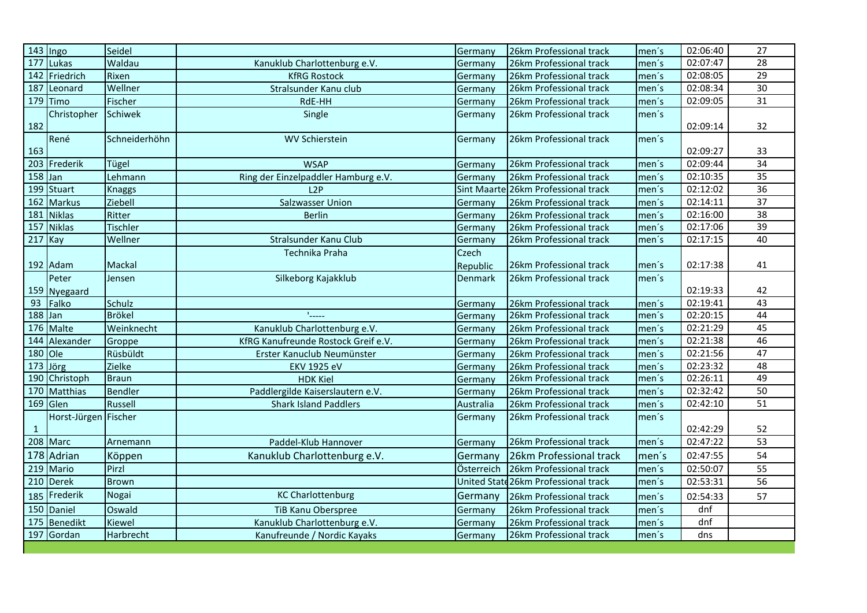| $\sqrt{143}$ Ingo    |                      | Seidel          |                                     | Germany    | 26km Professional track              | men's | 02:06:40 | $\overline{27}$ |
|----------------------|----------------------|-----------------|-------------------------------------|------------|--------------------------------------|-------|----------|-----------------|
|                      | 177 Lukas            | Waldau          | Kanuklub Charlottenburg e.V.        | Germany    | 26km Professional track              | men's | 02:07:47 | 28              |
|                      | 142 Friedrich        | Rixen           | <b>KfRG Rostock</b>                 | Germany    | 26km Professional track              | men's | 02:08:05 | 29              |
|                      | $187$ Leonard        | Wellner         | Stralsunder Kanu club               | Germany    | 26km Professional track              | men's | 02:08:34 | 30              |
|                      | 179 Timo             | Fischer         | RdE-HH                              | Germany    | 26km Professional track              | men's | 02:09:05 | 31              |
|                      | Christopher          | Schiwek         | Single                              | Germany    | 26km Professional track              | men's |          |                 |
| 182                  |                      |                 |                                     |            |                                      |       | 02:09:14 | 32              |
|                      | René                 | Schneiderhöhn   | <b>WV Schierstein</b>               | Germany    | 26km Professional track              | men's |          |                 |
| 163                  |                      |                 |                                     |            |                                      |       | 02:09:27 | 33              |
|                      | 203 Frederik         | Tügel           | <b>WSAP</b>                         | Germany    | 26km Professional track              | men's | 02:09:44 | 34              |
| $\overline{158}$ Jan |                      | Lehmann         | Ring der Einzelpaddler Hamburg e.V. | Germany    | 26km Professional track              | men's | 02:10:35 | $\overline{35}$ |
|                      | 199 Stuart           | <b>Knaggs</b>   | L2P                                 |            | Sint Maarte 26km Professional track  | men's | 02:12:02 | 36              |
|                      | 162 Markus           | Ziebell         | Salzwasser Union                    | Germany    | 26km Professional track              | men's | 02:14:11 | $\overline{37}$ |
|                      | 181 Niklas           | Ritter          | <b>Berlin</b>                       | Germany    | 26km Professional track              | men's | 02:16:00 | $\overline{38}$ |
| 157                  | <b>Niklas</b>        | <b>Tischler</b> |                                     | Germany    | 26km Professional track              | men's | 02:17:06 | 39              |
| 217 Kay              |                      | Wellner         | Stralsunder Kanu Club               | Germany    | 26km Professional track              | men's | 02:17:15 | 40              |
|                      |                      |                 | Technika Praha                      | Czech      |                                      |       |          |                 |
|                      | 192 Adam             | Mackal          |                                     | Republic   | 26km Professional track              | men's | 02:17:38 | 41              |
|                      | Peter                | Jensen          | Silkeborg Kajakklub                 | Denmark    | 26km Professional track              | men's |          |                 |
|                      | 159 Nyegaard         |                 |                                     |            |                                      |       | 02:19:33 | 42              |
|                      | 93 Falko             | Schulz          |                                     | Germany    | 26km Professional track              | men's | 02:19:41 | 43              |
| $188$ Jan            |                      | <b>Brökel</b>   |                                     | Germany    | 26km Professional track              | men's | 02:20:15 | 44              |
|                      | 176 Malte            | Weinknecht      | Kanuklub Charlottenburg e.V.        | Germany    | 26km Professional track              | men's | 02:21:29 | 45              |
| 144                  | Alexander            | Groppe          | KfRG Kanufreunde Rostock Greif e.V. | Germany    | 26km Professional track              | men's | 02:21:38 | 46              |
| 180                  | Ole                  | Rüsbüldt        | Erster Kanuclub Neumünster          | Germany    | 26km Professional track              | men's | 02:21:56 | 47              |
| 173                  | Jörg                 | Zielke          | <b>EKV 1925 eV</b>                  | Germany    | 26km Professional track              | men's | 02:23:32 | 48              |
|                      | 190 Christoph        | <b>Braun</b>    | <b>HDK Kiel</b>                     | Germany    | 26km Professional track              | men's | 02:26:11 | 49              |
|                      | 170 Matthias         | <b>Bendler</b>  | Paddlergilde Kaiserslautern e.V.    | Germany    | 26km Professional track              | men's | 02:32:42 | 50              |
|                      | $169$ Glen           | Russell         | <b>Shark Island Paddlers</b>        | Australia  | 26km Professional track              | men's | 02:42:10 | $\overline{51}$ |
|                      | Horst-Jürgen Fischer |                 |                                     | Germany    | 26km Professional track              | men's |          |                 |
| $\mathbf{1}$         |                      |                 |                                     |            |                                      |       | 02:42:29 | 52              |
| $\overline{208}$     | <b>Marc</b>          | Arnemann        | Paddel-Klub Hannover                | Germany    | 26km Professional track              | men's | 02:47:22 | 53              |
|                      | 178 Adrian           | Köppen          | Kanuklub Charlottenburg e.V.        | Germany    | 26km Professional track              | men's | 02:47:55 | 54              |
| 219                  | Mario                | Pirzl           |                                     | Österreich | 26km Professional track              | men's | 02:50:07 | 55              |
|                      | 210 Derek            | <b>Brown</b>    |                                     |            | United State 26km Professional track | men's | 02:53:31 | 56              |
| 185                  | Frederik             | Nogai           | <b>KC Charlottenburg</b>            | Germany    | 26km Professional track              | men's | 02:54:33 | 57              |
|                      | 150 Daniel           | Oswald          | TiB Kanu Oberspree                  | Germany    | 26km Professional track              | men's | dnf      |                 |
| 175                  | <b>Benedikt</b>      | Kiewel          | Kanuklub Charlottenburg e.V.        | Germany    | 26km Professional track              | men's | dnf      |                 |
|                      | 197 Gordan           | Harbrecht       | Kanufreunde / Nordic Kayaks         | Germany    | 26km Professional track              | men's | dns      |                 |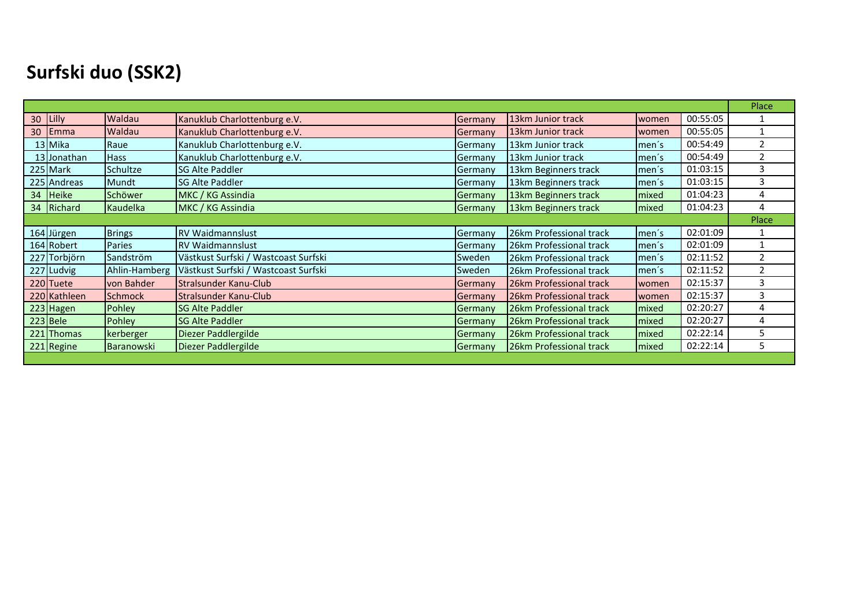### **Surfski duo (SSK2)**

|              |                |                                      |               |                         |               |          | Place          |
|--------------|----------------|--------------------------------------|---------------|-------------------------|---------------|----------|----------------|
| 30 Lilly     | Waldau         | Kanuklub Charlottenburg e.V.         | Germany       | 13km Junior track       | women         | 00:55:05 |                |
| 30 Emma      | Waldau         | Kanuklub Charlottenburg e.V.         | Germany       | 13km Junior track       | women         | 00:55:05 |                |
| 13 Mika      | Raue           | Kanuklub Charlottenburg e.V.         | Germany       | 13km Junior track       | men's         | 00:54:49 | $\overline{2}$ |
| 13 Jonathan  | Hass           | Kanuklub Charlottenburg e.V.         | Germany       | 13km Junior track       | men's         | 00:54:49 | $\overline{2}$ |
| 225 Mark     | Schultze       | <b>SG Alte Paddler</b>               | Germany       | 13km Beginners track    | men's         | 01:03:15 | 3              |
| 225 Andreas  | Mundt          | <b>SG Alte Paddler</b>               | Germany       | 13km Beginners track    | men's         | 01:03:15 | 3              |
| 34 Heike     | Schöwer        | MKC / KG Assindia                    | Germany       | 13km Beginners track    | mixed         | 01:04:23 | 4              |
| 34 Richard   | Kaudelka       | MKC / KG Assindia                    | Germany       | 13km Beginners track    | <b>Imixed</b> | 01:04:23 | 4              |
|              |                |                                      |               |                         |               |          | Place          |
| 164 Jürgen   | Brings         | <b>RV Waidmannslust</b>              | Germany       | 26km Professional track | Imen´s        | 02:01:09 |                |
| 164 Robert   | Paries         | <b>RV Waidmannslust</b>              | Germany       | 26km Professional track | men's         | 02:01:09 |                |
| 227 Torbjörn | Sandström      | Västkust Surfski / Wastcoast Surfski | <b>Sweden</b> | 26km Professional track | men's         | 02:11:52 | 2              |
| 227 Ludvig   | Ahlin-Hamberg  | Västkust Surfski / Wastcoast Surfski | Sweden        | 26km Professional track | men´s         | 02:11:52 | $\overline{2}$ |
| 220 Tuete    | von Bahder     | Stralsunder Kanu-Club                | Germany       | 26km Professional track | women         | 02:15:37 | 3              |
| 220 Kathleen | <b>Schmock</b> | Stralsunder Kanu-Club                | Germany       | 26km Professional track | women         | 02:15:37 | 3              |
| 223 Hagen    | Pohley         | <b>SG Alte Paddler</b>               | Germany       | 26km Professional track | mixed         | 02:20:27 | 4              |
| $223$ Bele   | Pohley         | <b>SG Alte Paddler</b>               | Germany       | 26km Professional track | <b>Imixed</b> | 02:20:27 | 4              |
| 221 Thomas   | kerberger      | Diezer Paddlergilde                  | Germany       | 26km Professional track | <b>Imixed</b> | 02:22:14 | 5              |
| 221 Regine   | Baranowski     | Diezer Paddlergilde                  | Germany       | 26km Professional track | <b>Imixed</b> | 02:22:14 | 5              |
|              |                |                                      |               |                         |               |          |                |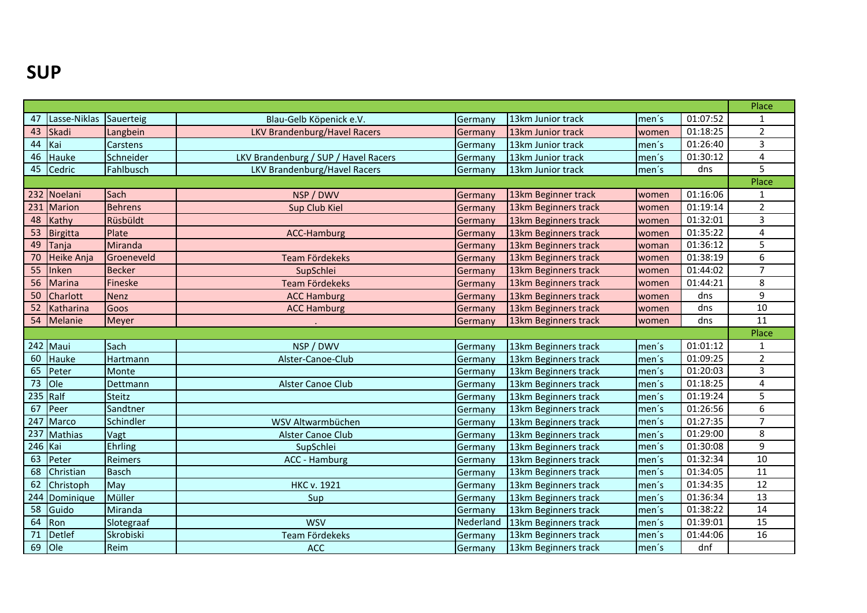#### **SUP**

|         |                  |                |                                      |           |                      |       |          | Place          |
|---------|------------------|----------------|--------------------------------------|-----------|----------------------|-------|----------|----------------|
| 47      | Lasse-Niklas     | Sauerteig      | Blau-Gelb Köpenick e.V.              | Germany   | 13km Junior track    | men's | 01:07:52 | $\mathbf{1}$   |
| 43      | Skadi            | Langbein       | LKV Brandenburg/Havel Racers         | Germany   | 13km Junior track    | women | 01:18:25 | $\overline{2}$ |
| 44      | Kai              | Carstens       |                                      | Germany   | 13km Junior track    | men's | 01:26:40 | 3              |
| 46      | Hauke            | Schneider      | LKV Brandenburg / SUP / Havel Racers | Germany   | 13km Junior track    | men's | 01:30:12 | 4              |
| 45      | Cedric           | Fahlbusch      | LKV Brandenburg/Havel Racers         | Germany   | 13km Junior track    | men's | dns      | 5              |
|         |                  |                |                                      |           |                      |       |          | Place          |
|         | 232 Noelani      | Sach           | NSP / DWV                            | Germany   | 13km Beginner track  | women | 01:16:06 | $\mathbf{1}$   |
| 231     | <b>Marion</b>    | <b>Behrens</b> | Sup Club Kiel                        | Germany   | 13km Beginners track | women | 01:19:14 | $\overline{2}$ |
| 48      | Kathy            | Rüsbüldt       |                                      | Germany   | 13km Beginners track | women | 01:32:01 | 3              |
| 53      | Birgitta         | Plate          | <b>ACC-Hamburg</b>                   | Germany   | 13km Beginners track | women | 01:35:22 | 4              |
| 49      | Tanja            | Miranda        |                                      | Germany   | 13km Beginners track | woman | 01:36:12 | 5              |
| 70      | Heike Anja       | Groeneveld     | <b>Team Fördekeks</b>                | Germany   | 13km Beginners track | women | 01:38:19 | 6              |
| 55      | Inken            | <b>Becker</b>  | SupSchlei                            | Germany   | 13km Beginners track | women | 01:44:02 | $\overline{7}$ |
| 56      | <b>Marina</b>    | Fineske        | Team Fördekeks                       | Germany   | 13km Beginners track | women | 01:44:21 | 8              |
| 50      | Charlott         | Nenz           | <b>ACC Hamburg</b>                   | Germany   | 13km Beginners track | women | dns      | 9              |
| 52      | <b>Katharina</b> | Goos           | <b>ACC Hamburg</b>                   | Germany   | 13km Beginners track | women | dns      | $10\,$         |
| 54      | Melanie          | Meyer          |                                      | Germany   | 13km Beginners track | women | dns      | 11             |
|         |                  |                |                                      |           |                      |       |          | Place          |
|         | 242 Maui         | Sach           | NSP / DWV                            | Germany   | 13km Beginners track | men's | 01:01:12 | $\mathbf{1}$   |
| 60      | Hauke            | Hartmann       | Alster-Canoe-Club                    | Germany   | 13km Beginners track | men's | 01:09:25 | $\overline{2}$ |
| 65      | Peter            | Monte          |                                      | Germany   | 13km Beginners track | men's | 01:20:03 | 3              |
| 73      | lole             | Dettmann       | Alster Canoe Club                    | Germany   | 13km Beginners track | men's | 01:18:25 | 4              |
|         | $235$ Ralf       | Steitz         |                                      | Germany   | 13km Beginners track | men's | 01:19:24 | 5              |
| 67      | Peer             | Sandtner       |                                      | Germany   | 13km Beginners track | men's | 01:26:56 | 6              |
| 247     | Marco            | Schindler      | WSV Altwarmbüchen                    | Germany   | 13km Beginners track | men's | 01:27:35 | $\overline{7}$ |
| 237     | <b>Mathias</b>   | Vagt           | Alster Canoe Club                    | Germany   | 13km Beginners track | men's | 01:29:00 | 8              |
| 246 Kai |                  | Ehrling        | SupSchlei                            | Germany   | 13km Beginners track | men's | 01:30:08 | 9              |
| 63      | Peter            | Reimers        | ACC - Hamburg                        | Germany   | 13km Beginners track | men's | 01:32:34 | 10             |
| 68      | Christian        | <b>Basch</b>   |                                      | Germany   | 13km Beginners track | men's | 01:34:05 | 11             |
| 62      | Christoph        | May            | <b>HKC v. 1921</b>                   | Germany   | 13km Beginners track | men's | 01:34:35 | 12             |
| 244     | Dominique        | Müller         | Sup                                  | Germany   | 13km Beginners track | men's | 01:36:34 | 13             |
| 58      | Guido            | Miranda        |                                      | Germany   | 13km Beginners track | men's | 01:38:22 | 14             |
| 64      | Ron              | Slotegraaf     | <b>WSV</b>                           | Nederland | 13km Beginners track | men's | 01:39:01 | 15             |
| 71      | Detlef           | Skrobiski      | Team Fördekeks                       | Germany   | 13km Beginners track | men's | 01:44:06 | 16             |
| 69      | Ole              | Reim           | <b>ACC</b>                           | Germany   | 13km Beginners track | men's | dnf      |                |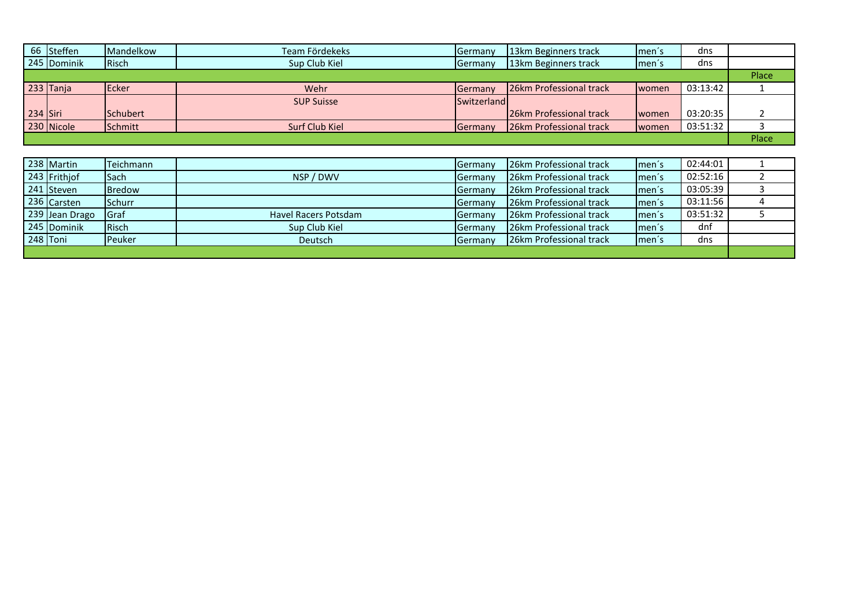|            | 66 Steffen  | <b>Mandelkow</b> | Team Fördekeks    | Germany            | 13km Beginners track     | Imen's         | dns      |       |
|------------|-------------|------------------|-------------------|--------------------|--------------------------|----------------|----------|-------|
|            | 245 Dominik | <b>IRisch</b>    | Sup Club Kiel     | <b>Germany</b>     | 13km Beginners track     | Imen's         | dns      |       |
|            |             |                  |                   |                    |                          |                |          | Place |
|            | $233$ Tanja | <b>IEcker</b>    | Wehr              | <b>I</b> Germany   | 26km Professional track  | women          | 03:13:42 |       |
|            |             |                  | <b>SUP Suisse</b> | <b>Switzerland</b> |                          |                |          |       |
| $234$ Siri |             | Schubert         |                   |                    | 126km Professional track | <b>I</b> women | 03:20:35 |       |
|            | 230 Nicole  | <b>I</b> Schmitt | Surf Club Kiel    | Germany            | 26km Professional track  | women          | 03:51:32 |       |
|            |             |                  |                   |                    |                          |                |          | Place |

|          | 238 Martin     | <b>Teichmann</b> |                      | <b>I</b> Germany | 26km Professional track  | Imen's              | 02:44:01 |  |
|----------|----------------|------------------|----------------------|------------------|--------------------------|---------------------|----------|--|
|          | 243 Frithjof   | <b>I</b> Sach    | NSP / DWV            | <b>I</b> Germanv | 126km Professional track | Imen's              | 02:52:16 |  |
|          | 241 Steven     | <b>Bredow</b>    |                      | <b>Germany</b>   | 26km Professional track  | Imen's              | 03:05:39 |  |
|          | 236 Carsten    | <b>Schurr</b>    |                      | Germany          | 26km Professional track  | Imen's              | 03:11:56 |  |
|          | 239 Jean Drago | <b>I</b> Graf    | Havel Racers Potsdam | <b>Germany</b>   | 26km Professional track  | ∣men′s              | 03:51:32 |  |
|          | 245 Dominik    | <b>IRisch</b>    | Sup Club Kiel        | Germany          | 26km Professional track  | Imen's              | dnf      |  |
| 248 Toni |                | <b>Peuker</b>    | Deutsch              | Germany          | 126km Professional track | Imen <sup>'</sup> s | dns      |  |
|          |                |                  |                      |                  |                          |                     |          |  |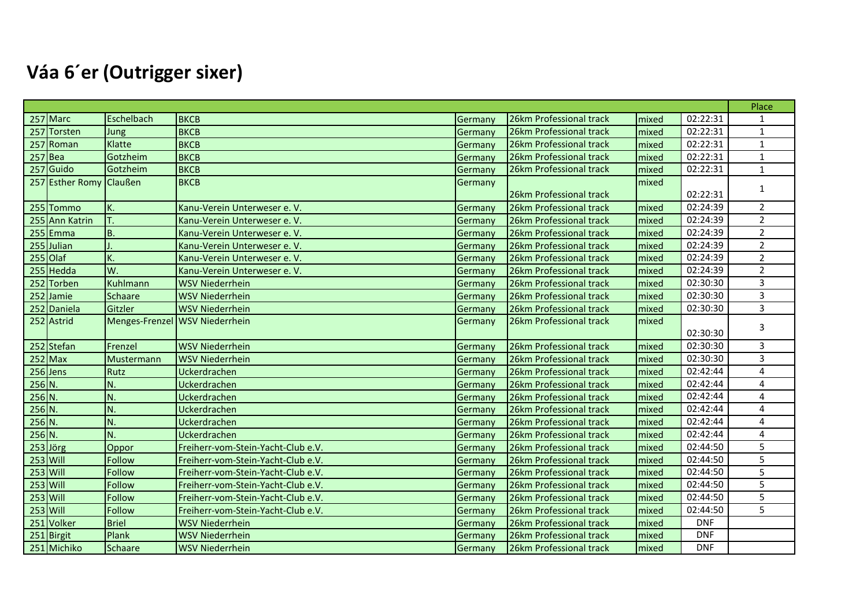# **Váa 6´er (Outrigger sixer)**

|          |                         |                |                                    |         |                         |       |            | Place                   |
|----------|-------------------------|----------------|------------------------------------|---------|-------------------------|-------|------------|-------------------------|
|          | 257 Marc                | Eschelbach     | <b>BKCB</b>                        | Germany | 26km Professional track | mixed | 02:22:31   | $\mathbf{1}$            |
|          | 257 Torsten             | <b>Jung</b>    | <b>BKCB</b>                        | Germany | 26km Professional track | mixed | 02:22:31   | $\mathbf{1}$            |
|          | 257 Roman               | Klatte         | <b>BKCB</b>                        | Germany | 26km Professional track | mixed | 02:22:31   | $\mathbf{1}$            |
|          | $257$ Bea               | Gotzheim       | <b>BKCB</b>                        | Germany | 26km Professional track | mixed | 02:22:31   | $\mathbf{1}$            |
|          | 257 Guido               | Gotzheim       | <b>BKCB</b>                        | Germany | 26km Professional track | mixed | 02:22:31   | $\mathbf 1$             |
|          | 257 Esther Romy Claußen |                | <b>BKCB</b>                        | Germany | 26km Professional track | mixed | 02:22:31   | 1                       |
|          | 255 Tommo               | K.             | Kanu-Verein Unterweser e. V.       | Germany | 26km Professional track | mixed | 02:24:39   | $\overline{2}$          |
|          | 255 Ann Katrin          | T.             | Kanu-Verein Unterweser e. V.       | Germany | 26km Professional track | mixed | 02:24:39   | $\overline{2}$          |
|          | $255$ Emma              | B.             | Kanu-Verein Unterweser e.V.        | Germany | 26km Professional track | mixed | 02:24:39   | $\overline{2}$          |
|          | 255 Julian              |                | Kanu-Verein Unterweser e. V.       | Germany | 26km Professional track | mixed | 02:24:39   | $\overline{2}$          |
|          | 255 Olaf                | K.             | Kanu-Verein Unterweser e. V.       | Germany | 26km Professional track | mixed | 02:24:39   | $\overline{2}$          |
|          | 255 Hedda               | lw.            | Kanu-Verein Unterweser e.V.        | Germany | 26km Professional track | mixed | 02:24:39   | $\overline{2}$          |
|          | 252 Torben              | Kuhlmann       | <b>WSV Niederrhein</b>             | Germany | 26km Professional track | mixed | 02:30:30   | 3                       |
|          | 252 Jamie               | Schaare        | <b>WSV Niederrhein</b>             | Germany | 26km Professional track | mixed | 02:30:30   | $\overline{3}$          |
|          | 252 Daniela             | Gitzler        | <b>WSV Niederrhein</b>             | Germany | 26km Professional track | mixed | 02:30:30   | 3                       |
|          | 252 Astrid              | Menges-Frenzel | <b>WSV Niederrhein</b>             | Germany | 26km Professional track | mixed | 02:30:30   | 3                       |
|          | 252 Stefan              | Frenzel        | <b>WSV Niederrhein</b>             | Germany | 26km Professional track | mixed | 02:30:30   | 3                       |
|          | $252$ Max               | Mustermann     | <b>WSV Niederrhein</b>             | Germany | 26km Professional track | mixed | 02:30:30   | 3                       |
|          | 256 Jens                | Rutz           | Uckerdrachen                       | Germany | 26km Professional track | mixed | 02:42:44   | $\overline{a}$          |
| $256$ N. |                         | IN.            | Uckerdrachen                       | Germany | 26km Professional track | mixed | 02:42:44   | $\overline{\mathbf{A}}$ |
| $256$ N. |                         | N.             | Uckerdrachen                       | Germany | 26km Professional track | mixed | 02:42:44   | $\overline{4}$          |
| $256$ N. |                         | N.             | Uckerdrachen                       | Germany | 26km Professional track | mixed | 02:42:44   | $\overline{4}$          |
| $256$ N. |                         | N.             | Uckerdrachen                       | Germany | 26km Professional track | mixed | 02:42:44   | 4                       |
| $256$ N. |                         | N.             | Uckerdrachen                       | Germany | 26km Professional track | mixed | 02:42:44   | $\overline{4}$          |
|          | $253$ Jörg              | Oppor          | Freiherr-vom-Stein-Yacht-Club e.V. | Germany | 26km Professional track | mixed | 02:44:50   | 5                       |
|          | 253 Will                | Follow         | Freiherr-vom-Stein-Yacht-Club e.V. | Germany | 26km Professional track | mixed | 02:44:50   | 5                       |
|          | $253$ Will              | Follow         | Freiherr-vom-Stein-Yacht-Club e.V. | Germany | 26km Professional track | mixed | 02:44:50   | 5                       |
|          | 253 Will                | Follow         | Freiherr-vom-Stein-Yacht-Club e.V. | Germany | 26km Professional track | mixed | 02:44:50   | 5                       |
|          | $253$ Will              | Follow         | Freiherr-vom-Stein-Yacht-Club e.V. | Germany | 26km Professional track | mixed | 02:44:50   | 5                       |
|          | $253$ Will              | Follow         | Freiherr-vom-Stein-Yacht-Club e.V. | Germany | 26km Professional track | mixed | 02:44:50   | 5                       |
|          | 251 Volker              | Briel          | <b>WSV Niederrhein</b>             | Germany | 26km Professional track | mixed | <b>DNF</b> |                         |
|          | 251 Birgit              | Plank          | <b>WSV Niederrhein</b>             | Germany | 26km Professional track | mixed | <b>DNF</b> |                         |
|          | 251 Michiko             | <b>Schaare</b> | <b>WSV Niederrhein</b>             | Germany | 26km Professional track | mixed | <b>DNF</b> |                         |